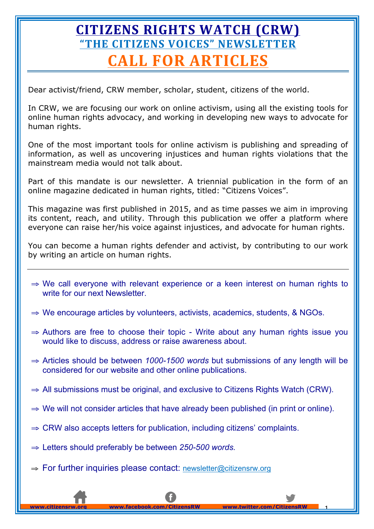# **CITIZENS RIGHTS WATCH (CRW) ["THE CITIZENS VOICES" NEWSLETTER](http://www.citizensrw.org/newsletter.php?year=2016) CALL FOR ARTICLES**

Dear activist/friend, CRW member, scholar, student, citizens of the world.

In CRW, we are focusing our work on online activism, using all the existing tools for online human rights advocacy, and working in developing new ways to advocate for human rights.

One of the most important tools for online activism is publishing and spreading of information, as well as uncovering injustices and human rights violations that the mainstream media would not talk about.

Part of this mandate is our newsletter. A triennial publication in the form of an online magazine dedicated in human rights, titled: "Citizens Voices".

This magazine was first published in 2015, and as time passes we aim in improving its content, reach, and utility. Through this publication we offer a platform where everyone can raise her/his voice against injustices, and advocate for human rights.

You can become a human rights defender and activist, by contributing to our work by writing an article on human rights.

- ⇒ We call everyone with relevant experience or a keen interest on human rights to write for our next Newsletter.
- ⇒ We encourage articles by volunteers, activists, academics, students, & NGOs.
- ⇒ Authors are free to choose their topic Write about any human rights issue you would like to discuss, address or raise awareness about.
- ⇒ Articles should be between *1000-1500 words* but submissions of any length will be considered for our website and other online publications.
- ⇒ All submissions must be original, and exclusive to Citizens Rights Watch (CRW).
- $\Rightarrow$  We will not consider articles that have already been published (in print or online).

**www.twitter.com/Citize** 

- $\Rightarrow$  CRW also accepts letters for publication, including citizens' complaints.
- ⇒ Letters should preferably be between *250-500 words.*
- ⇒ For further inquiries please contact: newsletter@citizensrw.org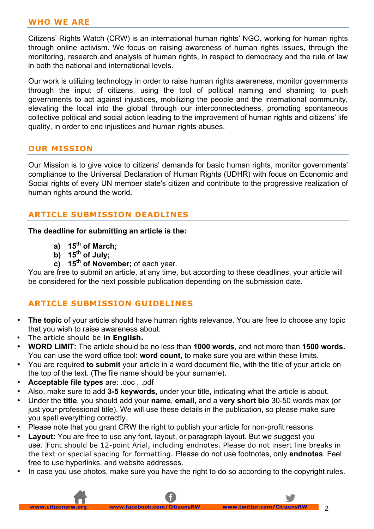#### **WHO WE ARE**

Citizens' Rights Watch (CRW) is an international human rights' NGO, working for human rights through online activism. We focus on raising awareness of human rights issues, through the monitoring, research and analysis of human rights, in respect to democracy and the rule of law in both the national and international levels.

Our work is utilizing technology in order to raise human rights awareness, monitor governments through the input of citizens, using the tool of political naming and shaming to push governments to act against injustices, mobilizing the people and the international community, elevating the local into the global through our interconnectedness, promoting spontaneous collective political and social action leading to the improvement of human rights and citizens' life quality, in order to end injustices and human rights abuses.

### **OUR MISSION**

Our Mission is to give voice to citizens' demands for basic human rights, monitor governments' compliance to the Universal Declaration of Human Rights (UDHR) with focus on Economic and Social rights of every UN member state's citizen and contribute to the progressive realization of human rights around the world.

# **ARTICLE SUBMISSION DEADLINES**

#### **The deadline for submitting an article is the:**

- **a) 15th of March;**
- $\overline{b}$ ) **15<sup>th</sup> of July**;
- **c) 15th of November;** of each year.

You are free to submit an article, at any time, but according to these deadlines, your article will be considered for the next possible publication depending on the submission date.

# **ARTICLE SUBMISSION GUIDELINES**

- **The topic** of your article should have human rights relevance. You are free to choose any topic that you wish to raise awareness about.
- The article should be **in English.**
- **WORD LIMIT:** The article should be no less than **1000 words**, and not more than **1500 words.** You can use the word office tool: **word count**, to make sure you are within these limits.
- You are required **to submit** your article in a word document file, with the title of your article on the top of the text. (The file name should be your surname).
- **Acceptable file types** are: .doc , .pdf
- Also, make sure to add **3-5 keywords,** under your title, indicating what the article is about.
- Under the **title**, you should add your **name**, **email,** and a **very short bio** 30-50 words max (or just your professional title). We will use these details in the publication, so please make sure you spell everything correctly.
- Please note that you grant CRW the right to publish your article for non-profit reasons.
- **Layout:** You are free to use any font, layout, or paragraph layout. But we suggest you use: Font should be 12-point Arial, including endnotes. Please do not insert line breaks in the text or special spacing for formatting. Please do not use footnotes, only **endnotes**. Feel free to use hyperlinks, and website addresses.
- In case you use photos, make sure you have the right to do so according to the copyright rules.